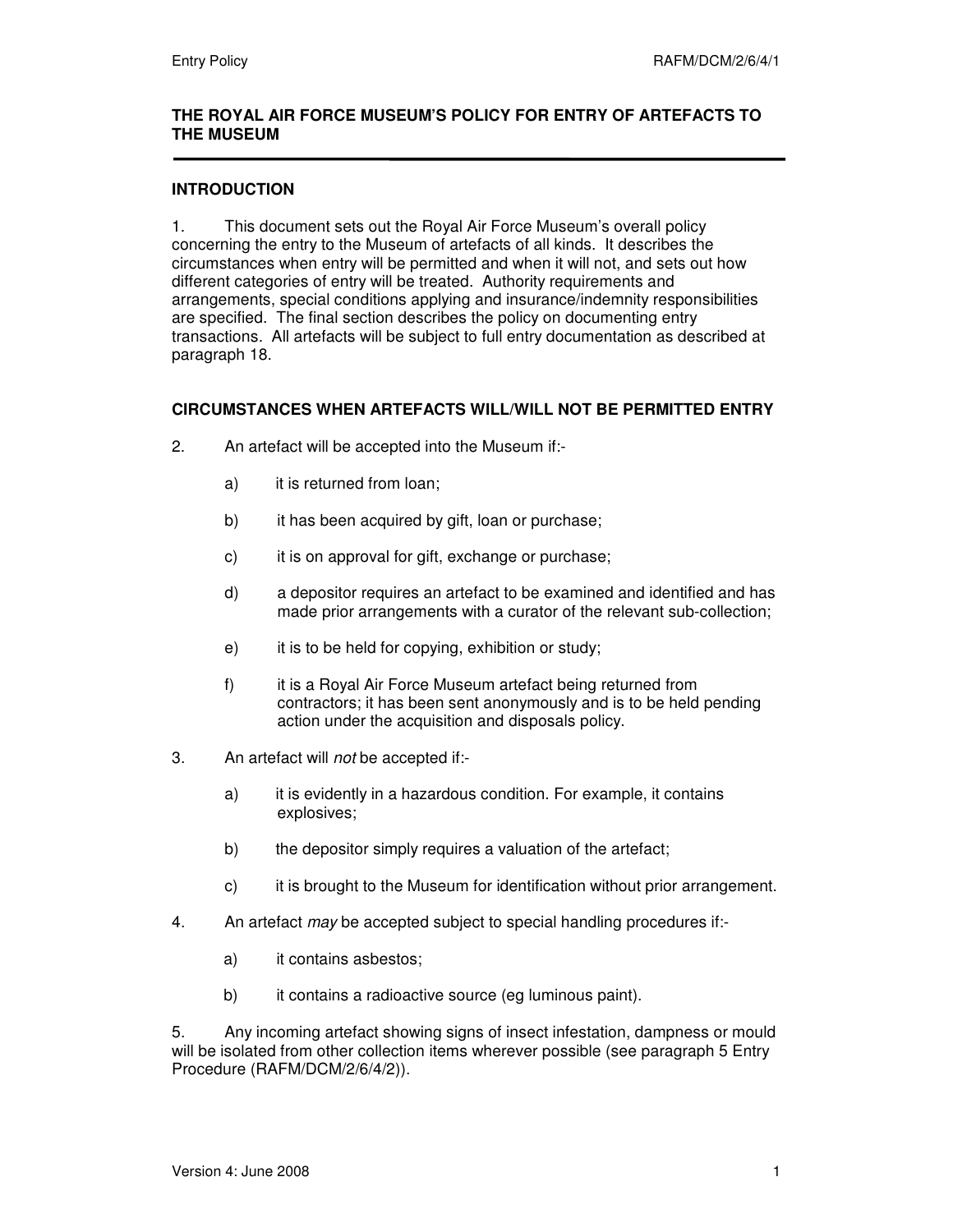#### **THE ROYAL AIR FORCE MUSEUM'S POLICY FOR ENTRY OF ARTEFACTS TO THE MUSEUM**

#### **INTRODUCTION**

1. This document sets out the Royal Air Force Museum's overall policy concerning the entry to the Museum of artefacts of all kinds. It describes the circumstances when entry will be permitted and when it will not, and sets out how different categories of entry will be treated. Authority requirements and arrangements, special conditions applying and insurance/indemnity responsibilities are specified. The final section describes the policy on documenting entry transactions. All artefacts will be subject to full entry documentation as described at paragraph 18.

#### **CIRCUMSTANCES WHEN ARTEFACTS WILL/WILL NOT BE PERMITTED ENTRY**

- 2. An artefact will be accepted into the Museum if:
	- a) it is returned from loan;
	- b) it has been acquired by gift, loan or purchase;
	- c) it is on approval for gift, exchange or purchase;
	- d) a depositor requires an artefact to be examined and identified and has made prior arrangements with a curator of the relevant sub-collection;
	- e) it is to be held for copying, exhibition or study;
	- f) it is a Royal Air Force Museum artefact being returned from contractors; it has been sent anonymously and is to be held pending action under the acquisition and disposals policy.
- 3. An artefact will not be accepted if:
	- a) it is evidently in a hazardous condition. For example, it contains explosives;
	- b) the depositor simply requires a valuation of the artefact;
	- c) it is brought to the Museum for identification without prior arrangement.
- 4. An artefact may be accepted subject to special handling procedures if:
	- a) it contains asbestos;
	- b) it contains a radioactive source (eg luminous paint).

5. Any incoming artefact showing signs of insect infestation, dampness or mould will be isolated from other collection items wherever possible (see paragraph 5 Entry Procedure (RAFM/DCM/2/6/4/2)).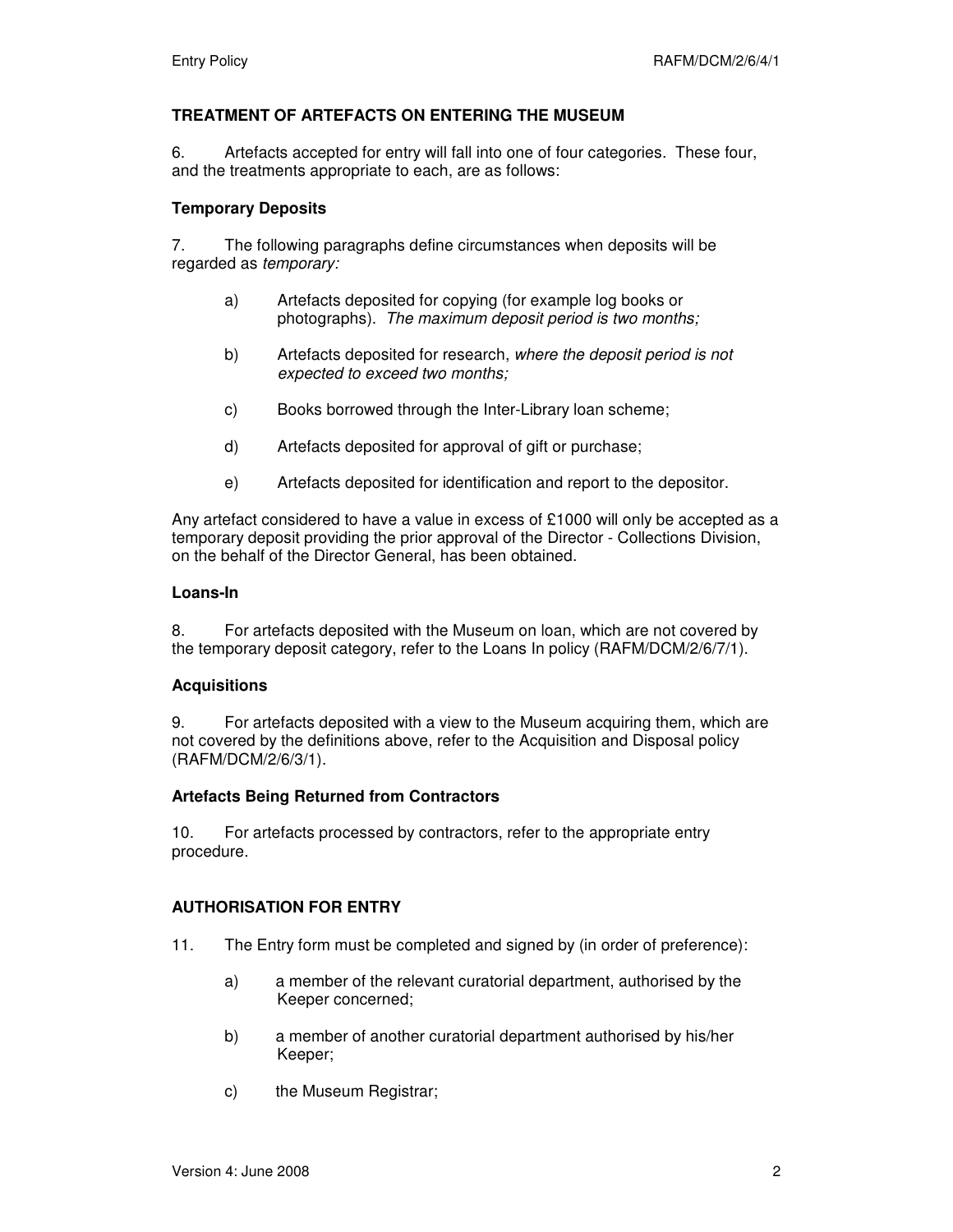# **TREATMENT OF ARTEFACTS ON ENTERING THE MUSEUM**

6. Artefacts accepted for entry will fall into one of four categories. These four, and the treatments appropriate to each, are as follows:

#### **Temporary Deposits**

7. The following paragraphs define circumstances when deposits will be regarded as temporary:

- a) Artefacts deposited for copying (for example log books or photographs). The maximum deposit period is two months;
- b) Artefacts deposited for research, where the deposit period is not expected to exceed two months;
- c) Books borrowed through the Inter-Library loan scheme;
- d) Artefacts deposited for approval of gift or purchase;
- e) Artefacts deposited for identification and report to the depositor.

Any artefact considered to have a value in excess of £1000 will only be accepted as a temporary deposit providing the prior approval of the Director - Collections Division, on the behalf of the Director General, has been obtained.

#### **Loans-In**

8. For artefacts deposited with the Museum on loan, which are not covered by the temporary deposit category, refer to the Loans In policy (RAFM/DCM/2/6/7/1).

#### **Acquisitions**

9. For artefacts deposited with a view to the Museum acquiring them, which are not covered by the definitions above, refer to the Acquisition and Disposal policy (RAFM/DCM/2/6/3/1).

#### **Artefacts Being Returned from Contractors**

10. For artefacts processed by contractors, refer to the appropriate entry procedure.

#### **AUTHORISATION FOR ENTRY**

- 11. The Entry form must be completed and signed by (in order of preference):
	- a) a member of the relevant curatorial department, authorised by the Keeper concerned;
	- b) a member of another curatorial department authorised by his/her Keeper;
	- c) the Museum Registrar;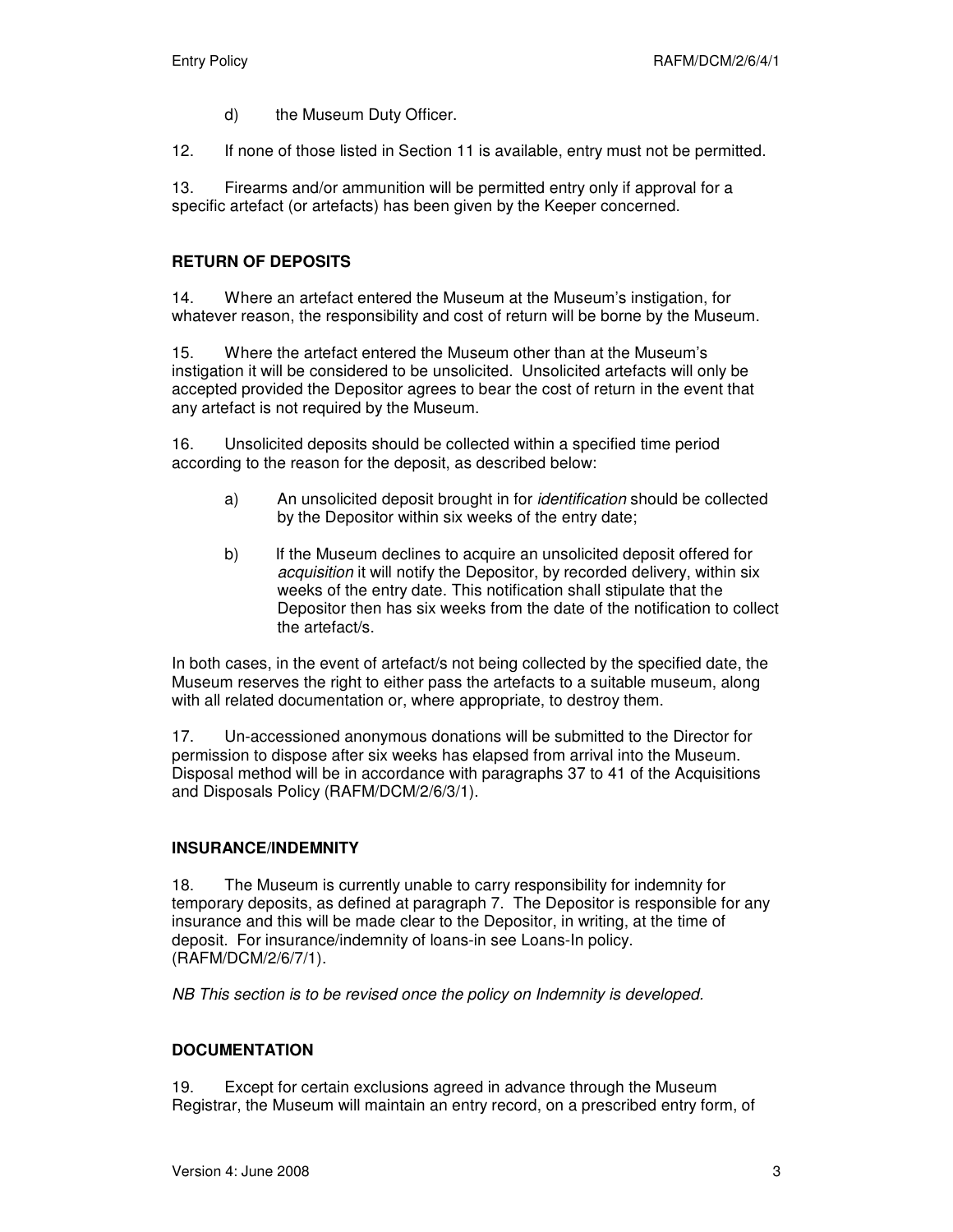- d) the Museum Duty Officer.
- 12. If none of those listed in Section 11 is available, entry must not be permitted.

13. Firearms and/or ammunition will be permitted entry only if approval for a specific artefact (or artefacts) has been given by the Keeper concerned.

# **RETURN OF DEPOSITS**

14. Where an artefact entered the Museum at the Museum's instigation, for whatever reason, the responsibility and cost of return will be borne by the Museum.

15. Where the artefact entered the Museum other than at the Museum's instigation it will be considered to be unsolicited. Unsolicited artefacts will only be accepted provided the Depositor agrees to bear the cost of return in the event that any artefact is not required by the Museum.

16. Unsolicited deposits should be collected within a specified time period according to the reason for the deposit, as described below:

- a) An unsolicited deposit brought in for identification should be collected by the Depositor within six weeks of the entry date;
- b) If the Museum declines to acquire an unsolicited deposit offered for acquisition it will notify the Depositor, by recorded delivery, within six weeks of the entry date. This notification shall stipulate that the Depositor then has six weeks from the date of the notification to collect the artefact/s.

In both cases, in the event of artefact/s not being collected by the specified date, the Museum reserves the right to either pass the artefacts to a suitable museum, along with all related documentation or, where appropriate, to destroy them.

17. Un-accessioned anonymous donations will be submitted to the Director for permission to dispose after six weeks has elapsed from arrival into the Museum. Disposal method will be in accordance with paragraphs 37 to 41 of the Acquisitions and Disposals Policy (RAFM/DCM/2/6/3/1).

# **INSURANCE/INDEMNITY**

18. The Museum is currently unable to carry responsibility for indemnity for temporary deposits, as defined at paragraph 7. The Depositor is responsible for any insurance and this will be made clear to the Depositor, in writing, at the time of deposit. For insurance/indemnity of loans-in see Loans-In policy. (RAFM/DCM/2/6/7/1).

NB This section is to be revised once the policy on Indemnity is developed.

#### **DOCUMENTATION**

19. Except for certain exclusions agreed in advance through the Museum Registrar, the Museum will maintain an entry record, on a prescribed entry form, of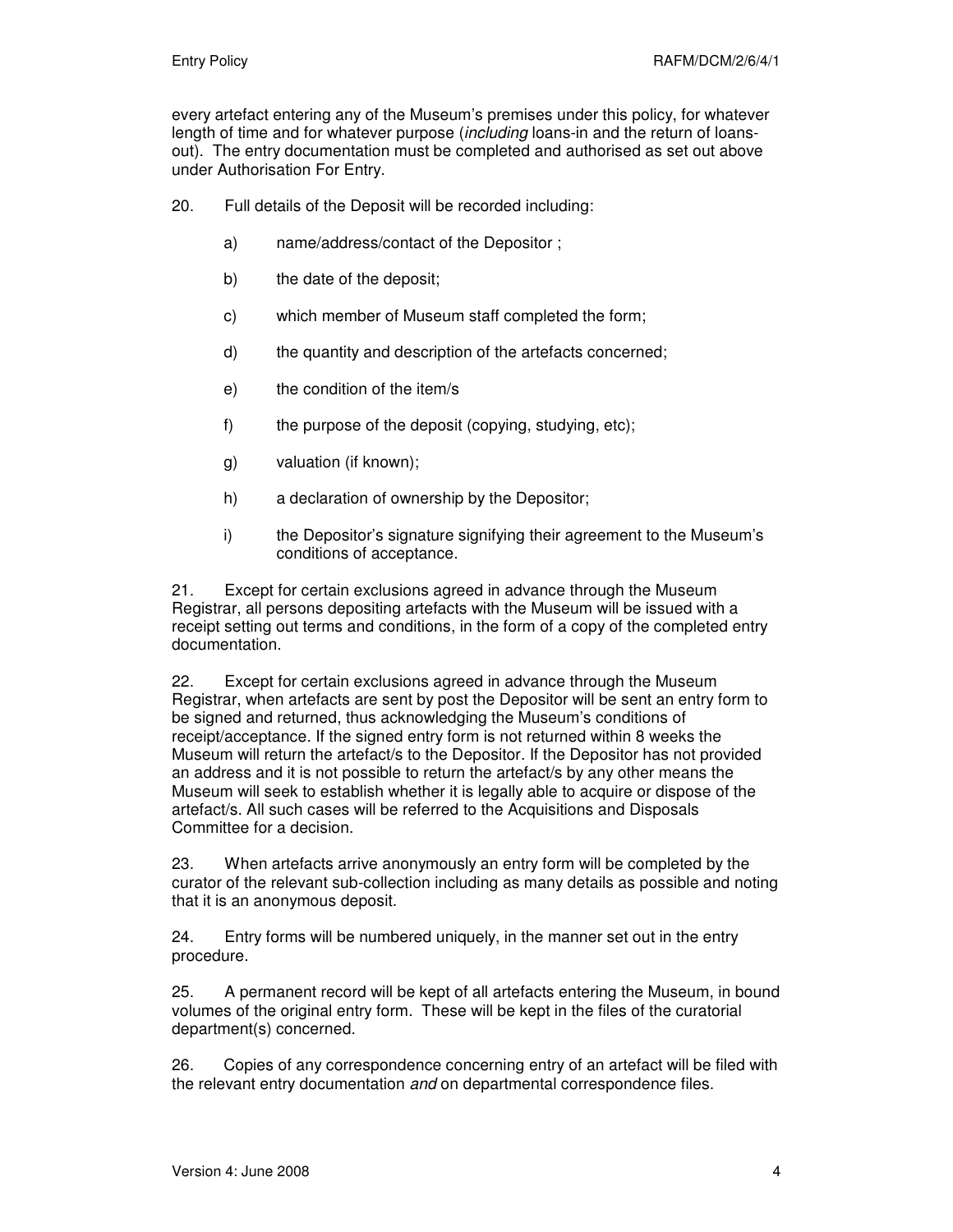every artefact entering any of the Museum's premises under this policy, for whatever length of time and for whatever purpose *(including loans-in and the return of loans*out). The entry documentation must be completed and authorised as set out above under Authorisation For Entry.

20. Full details of the Deposit will be recorded including:

- a) name/address/contact of the Depositor ;
- b) the date of the deposit;
- c) which member of Museum staff completed the form;
- d) the quantity and description of the artefacts concerned;
- e) the condition of the item/s
- f) the purpose of the deposit (copying, studying, etc);
- g) valuation (if known);
- h) a declaration of ownership by the Depositor;
- i) the Depositor's signature signifying their agreement to the Museum's conditions of acceptance.

21. Except for certain exclusions agreed in advance through the Museum Registrar, all persons depositing artefacts with the Museum will be issued with a receipt setting out terms and conditions, in the form of a copy of the completed entry documentation.

22. Except for certain exclusions agreed in advance through the Museum Registrar, when artefacts are sent by post the Depositor will be sent an entry form to be signed and returned, thus acknowledging the Museum's conditions of receipt/acceptance. If the signed entry form is not returned within 8 weeks the Museum will return the artefact/s to the Depositor. If the Depositor has not provided an address and it is not possible to return the artefact/s by any other means the Museum will seek to establish whether it is legally able to acquire or dispose of the artefact/s. All such cases will be referred to the Acquisitions and Disposals Committee for a decision.

23. When artefacts arrive anonymously an entry form will be completed by the curator of the relevant sub-collection including as many details as possible and noting that it is an anonymous deposit.

24. Entry forms will be numbered uniquely, in the manner set out in the entry procedure.

25. A permanent record will be kept of all artefacts entering the Museum, in bound volumes of the original entry form. These will be kept in the files of the curatorial department(s) concerned.

26. Copies of any correspondence concerning entry of an artefact will be filed with the relevant entry documentation and on departmental correspondence files.